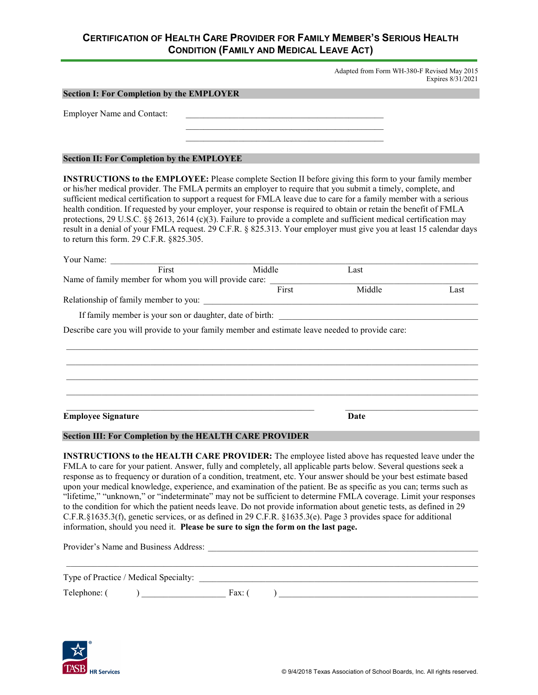# **CERTIFICATION OF HEALTH CARE PROVIDER FOR FAMILY MEMBER'S SERIOUS HEALTH CONDITION (FAMILY AND MEDICAL LEAVE ACT)**

Adapted from Form WH-380-F Revised May 2015 Expires 8/31/2021

|                                                                                                                                                                                                                                                                                                                                                                                                                                                                                                                                                                                                                                                                                                                                                                                                                                                                                                                                |                    |                                                             | Expires 8/31/2021 |
|--------------------------------------------------------------------------------------------------------------------------------------------------------------------------------------------------------------------------------------------------------------------------------------------------------------------------------------------------------------------------------------------------------------------------------------------------------------------------------------------------------------------------------------------------------------------------------------------------------------------------------------------------------------------------------------------------------------------------------------------------------------------------------------------------------------------------------------------------------------------------------------------------------------------------------|--------------------|-------------------------------------------------------------|-------------------|
| <b>Section I: For Completion by the EMPLOYER</b>                                                                                                                                                                                                                                                                                                                                                                                                                                                                                                                                                                                                                                                                                                                                                                                                                                                                               |                    |                                                             |                   |
| <b>Employer Name and Contact:</b>                                                                                                                                                                                                                                                                                                                                                                                                                                                                                                                                                                                                                                                                                                                                                                                                                                                                                              |                    |                                                             |                   |
|                                                                                                                                                                                                                                                                                                                                                                                                                                                                                                                                                                                                                                                                                                                                                                                                                                                                                                                                |                    |                                                             |                   |
|                                                                                                                                                                                                                                                                                                                                                                                                                                                                                                                                                                                                                                                                                                                                                                                                                                                                                                                                |                    |                                                             |                   |
| <b>Section II: For Completion by the EMPLOYEE</b>                                                                                                                                                                                                                                                                                                                                                                                                                                                                                                                                                                                                                                                                                                                                                                                                                                                                              |                    |                                                             |                   |
| <b>INSTRUCTIONS to the EMPLOYEE:</b> Please complete Section II before giving this form to your family member<br>or his/her medical provider. The FMLA permits an employer to require that you submit a timely, complete, and<br>sufficient medical certification to support a request for FMLA leave due to care for a family member with a serious<br>health condition. If requested by your employer, your response is required to obtain or retain the benefit of FMLA<br>protections, 29 U.S.C. §§ 2613, 2614 (c)(3). Failure to provide a complete and sufficient medical certification may<br>result in a denial of your FMLA request. 29 C.F.R. § 825.313. Your employer must give you at least 15 calendar days<br>to return this form. 29 C.F.R. §825.305.                                                                                                                                                           |                    |                                                             |                   |
| Your Name:<br>First<br>Middle                                                                                                                                                                                                                                                                                                                                                                                                                                                                                                                                                                                                                                                                                                                                                                                                                                                                                                  |                    | Last                                                        |                   |
| Name of family member for whom you will provide care:                                                                                                                                                                                                                                                                                                                                                                                                                                                                                                                                                                                                                                                                                                                                                                                                                                                                          |                    |                                                             |                   |
| Relationship of family member to you:                                                                                                                                                                                                                                                                                                                                                                                                                                                                                                                                                                                                                                                                                                                                                                                                                                                                                          | $\overline{First}$ | Middle<br><u> 1980 - Jan Barbarat, martin dina masjid a</u> | Last              |
| If family member is your son or daughter, date of birth:                                                                                                                                                                                                                                                                                                                                                                                                                                                                                                                                                                                                                                                                                                                                                                                                                                                                       |                    |                                                             |                   |
| Describe care you will provide to your family member and estimate leave needed to provide care:                                                                                                                                                                                                                                                                                                                                                                                                                                                                                                                                                                                                                                                                                                                                                                                                                                |                    |                                                             |                   |
| <b>Employee Signature</b>                                                                                                                                                                                                                                                                                                                                                                                                                                                                                                                                                                                                                                                                                                                                                                                                                                                                                                      |                    | Date                                                        |                   |
| <b>Section III: For Completion by the HEALTH CARE PROVIDER</b>                                                                                                                                                                                                                                                                                                                                                                                                                                                                                                                                                                                                                                                                                                                                                                                                                                                                 |                    |                                                             |                   |
| <b>INSTRUCTIONS to the HEALTH CARE PROVIDER:</b> The employee listed above has requested leave under the<br>FMLA to care for your patient. Answer, fully and completely, all applicable parts below. Several questions seek a<br>response as to frequency or duration of a condition, treatment, etc. Your answer should be your best estimate based<br>upon your medical knowledge, experience, and examination of the patient. Be as specific as you can; terms such as<br>"lifetime," "unknown," or "indeterminate" may not be sufficient to determine FMLA coverage. Limit your responses<br>to the condition for which the patient needs leave. Do not provide information about genetic tests, as defined in 29<br>C.F.R.§1635.3(f), genetic services, or as defined in 29 C.F.R. §1635.3(e). Page 3 provides space for additional<br>information, should you need it. Please be sure to sign the form on the last page. |                    |                                                             |                   |
|                                                                                                                                                                                                                                                                                                                                                                                                                                                                                                                                                                                                                                                                                                                                                                                                                                                                                                                                |                    |                                                             |                   |
| Type of Practice / Medical Specialty:                                                                                                                                                                                                                                                                                                                                                                                                                                                                                                                                                                                                                                                                                                                                                                                                                                                                                          |                    |                                                             |                   |

Telephone: ( ) \_\_\_\_\_\_\_\_\_\_\_\_\_\_\_\_\_\_\_ Fax: ( ) \_\_\_\_\_\_\_\_\_\_\_\_\_\_\_\_\_\_\_\_\_\_\_\_\_\_\_\_\_\_\_\_\_\_\_\_\_\_\_\_\_\_\_\_\_

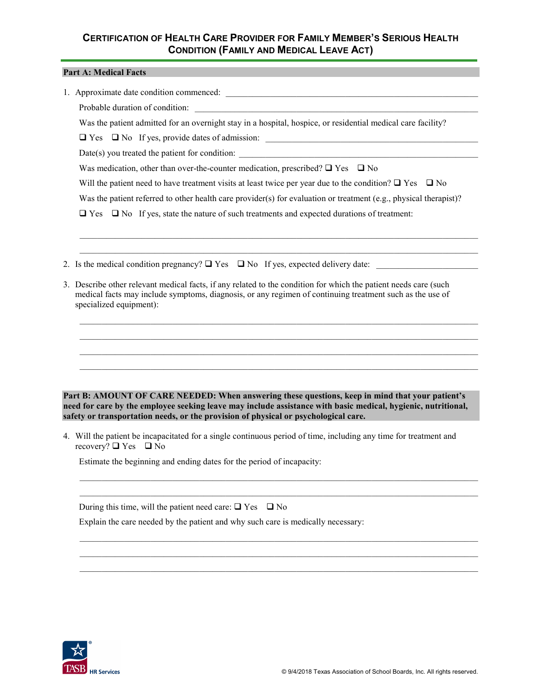## **CERTIFICATION OF HEALTH CARE PROVIDER FOR FAMILY MEMBER'S SERIOUS HEALTH CONDITION (FAMILY AND MEDICAL LEAVE ACT)**

#### **Part A: Medical Facts**

1. Approximate date condition commenced:

Probable duration of condition:

Was the patient admitted for an overnight stay in a hospital, hospice, or residential medical care facility?

 $\Box$  Yes  $\Box$  No If yes, provide dates of admission:

 $Date(s)$  you treated the patient for condition:

Was medication, other than over-the-counter medication, prescribed?  $\Box$  Yes  $\Box$  No

Will the patient need to have treatment visits at least twice per year due to the condition?  $\Box$  Yes  $\Box$  No

Was the patient referred to other health care provider(s) for evaluation or treatment (e.g., physical therapist)?

 $\_$  , and the state of the state of the state of the state of the state of the state of the state of the state of the state of the state of the state of the state of the state of the state of the state of the state of the  $\_$  , and the state of the state of the state of the state of the state of the state of the state of the state of the state of the state of the state of the state of the state of the state of the state of the state of the

 $\_$  ,  $\_$  ,  $\_$  ,  $\_$  ,  $\_$  ,  $\_$  ,  $\_$  ,  $\_$  ,  $\_$  ,  $\_$  ,  $\_$  ,  $\_$  ,  $\_$  ,  $\_$  ,  $\_$  ,  $\_$  ,  $\_$  ,  $\_$  ,  $\_$  ,  $\_$  ,  $\_$  ,  $\_$  ,  $\_$  ,  $\_$  ,  $\_$  ,  $\_$  ,  $\_$  ,  $\_$  ,  $\_$  ,  $\_$  ,  $\_$  ,  $\_$  ,  $\_$  ,  $\_$  ,  $\_$  ,  $\_$  ,  $\_$  ,  $\_$  ,  $\_$  ,  $\_$  ,  $\_$  ,  $\_$  ,  $\_$  ,  $\_$  ,  $\_$  ,  $\_$  ,  $\_$  ,  $\_$  ,  $\_$  ,  $\_$  ,  $\_$  ,  $\_$  ,  $\_$  ,  $\_$  ,  $\_$  ,  $\_$  ,  $\_$  ,  $\_$  ,  $\_$  ,  $\_$  ,  $\_$  ,  $\_$  ,  $\_$  ,  $\_$  ,  $\_$  ,  $\_$  ,  $\_$  ,  $\_$  ,  $\_$  ,  $\_$  ,  $\_$  ,  $\_$  ,  $\_$  ,  $\_$  ,  $\_$  ,  $\_$  ,  $\_$  ,  $\_$  ,  $\_$  ,  $\_$  ,  $\_$  ,  $\_$  ,  $\_$  ,  $\_$  ,  $\_$  ,  $\_$  ,  $\_$  ,  $\_$  ,  $\_$  ,  $\_$  ,  $\_$  ,  $\_$  ,  $\_$  ,  $\_$  ,  $\_$  ,  $\_$  ,  $\_$  ,  $\_$  ,  $\_$  ,  $\_$  ,  $\_$  ,  $\_$  ,  $\_$  ,  $\_$  ,  $\_$  ,  $\_$  ,  $\_$  ,  $\_$  ,  $\_$  ,  $\_$  ,  $\_$  ,  $\_$  ,  $\_$  ,  $\_$  ,  $\_$  ,  $\_$  ,  $\_$  ,  $\_$  ,  $\_$  ,  $\_$  ,  $\_$  ,  $\_$  ,  $\_$  ,  $\_$  ,  $\_$  ,  $\_$  ,  $\_$  ,  $\_$  ,  $\_$  ,  $\_$  ,  $\_$  ,  $\_$  ,  $\_$  ,  $\_$  ,  $\_$  ,  $\_$  ,  $\_$  ,  $\_$  ,  $\_$  ,  $\_$  ,  $\_$  ,  $\_$  ,  $\_$  ,  $\_$  ,  $\_$  ,  $\_$  ,  $\_$  ,  $\_$  ,

 $\Box$  Yes  $\Box$  No If yes, state the nature of such treatments and expected durations of treatment:

- 2. Is the medical condition pregnancy?  $\Box$  Yes  $\Box$  No If yes, expected delivery date:
- 3. Describe other relevant medical facts, if any related to the condition for which the patient needs care (such medical facts may include symptoms, diagnosis, or any regimen of continuing treatment such as the use of specialized equipment):

**Part B: AMOUNT OF CARE NEEDED: When answering these questions, keep in mind that your patient's need for care by the employee seeking leave may include assistance with basic medical, hygienic, nutritional, safety or transportation needs, or the provision of physical or psychological care.**

4. Will the patient be incapacitated for a single continuous period of time, including any time for treatment and recovery?  $\Box$  Yes  $\Box$  No

 $\_$  , and the set of the set of the set of the set of the set of the set of the set of the set of the set of the set of the set of the set of the set of the set of the set of the set of the set of the set of the set of th  $\_$  , and the set of the set of the set of the set of the set of the set of the set of the set of the set of the set of the set of the set of the set of the set of the set of the set of the set of the set of the set of th

 $\_$  , and the set of the set of the set of the set of the set of the set of the set of the set of the set of the set of the set of the set of the set of the set of the set of the set of the set of the set of the set of th  $\_$  , and the set of the set of the set of the set of the set of the set of the set of the set of the set of the set of the set of the set of the set of the set of the set of the set of the set of the set of the set of th  $\_$  , and the set of the set of the set of the set of the set of the set of the set of the set of the set of the set of the set of the set of the set of the set of the set of the set of the set of the set of the set of th

Estimate the beginning and ending dates for the period of incapacity:

During this time, will the patient need care:  $\Box$  Yes  $\Box$  No

Explain the care needed by the patient and why such care is medically necessary: